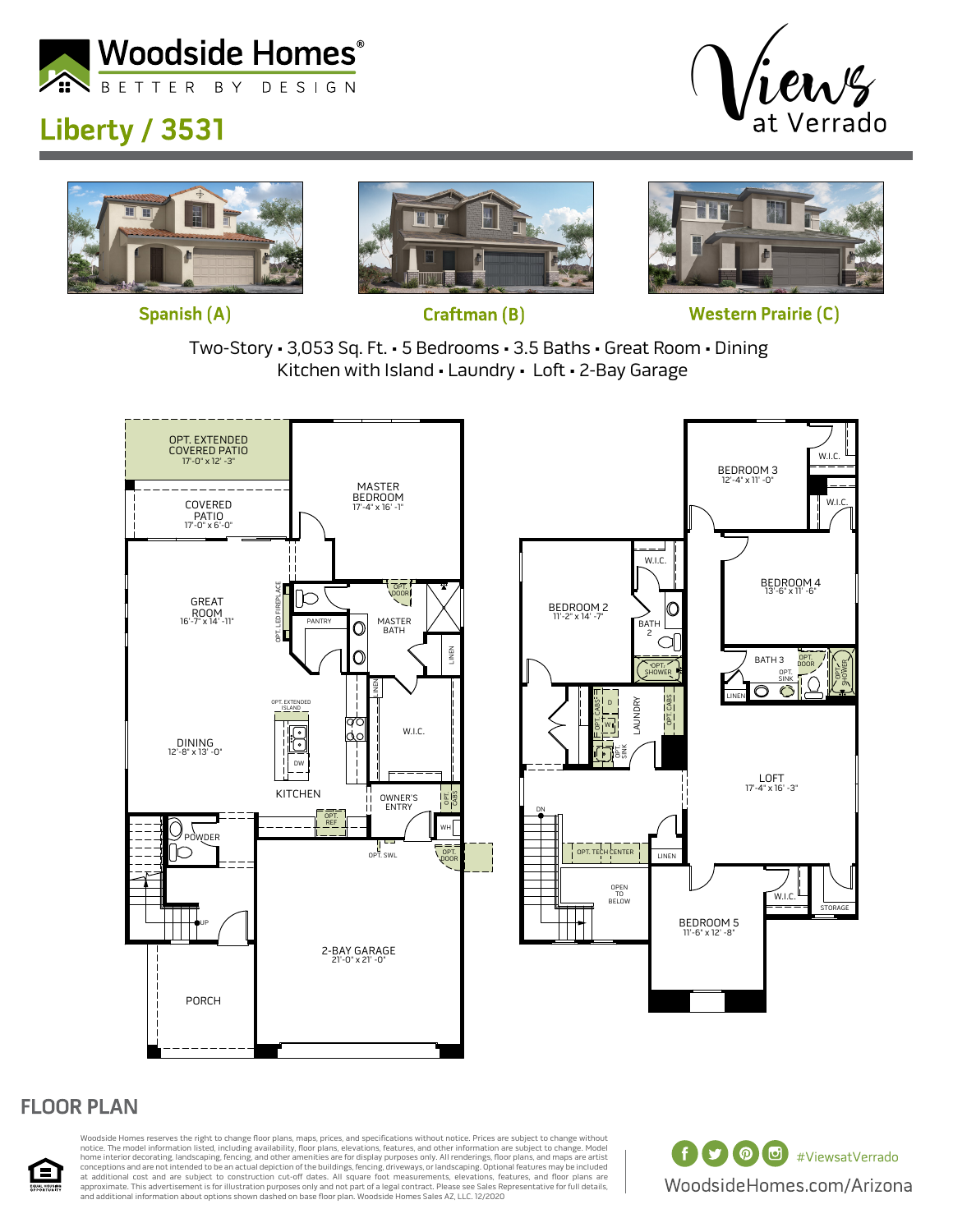

## **Liberty / 3531**









**Western Prairie (C)** 





## **FLOOR PLAN**



Woodside Homes reserves the right to change floor plans, maps, prices, and specifications without notice. Prices are subject to change without notice. The model information listed, including availability, floor plans, elevations, features, and other information are subject to change. Model<br>home interior decorating, landscaping, fencing, and other amenities are fo at additional cost and are subject to construction cut-off dates. All square foot measurements, elevations, features, and floor plans are<br>approximate. This advertisement is for illustration purposes only and not part of a